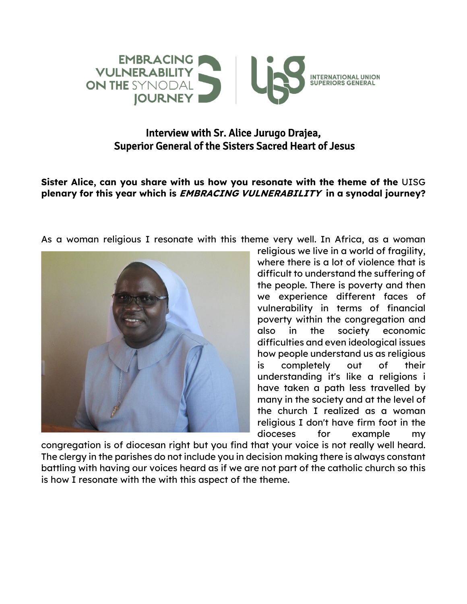

# Interview with Sr. Alice Jurugo Drajea, Superior General of the Sisters Sacred Heart of Jesus

## **Sister Alice, can you share with us how you resonate with the theme of the** UISG **plenary for this year which is EMBRACING VULNERABILITY in a synodal journey?**

As a woman religious I resonate with this theme very well. In Africa, as a woman



religious we live in a world of fragility, where there is a lot of violence that is difficult to understand the suffering of the people. There is poverty and then we experience different faces of vulnerability in terms of financial poverty within the congregation and also in the society economic difficulties and even ideological issues how people understand us as religious is completely out of their understanding it's like a religions i have taken a path less travelled by many in the society and at the level of the church I realized as a woman religious I don't have firm foot in the dioceses for example my

congregation is of diocesan right but you find that your voice is not really well heard. The clergy in the parishes do not include you in decision making there is always constant battling with having our voices heard as if we are not part of the catholic church so this is how I resonate with the with this aspect of the theme.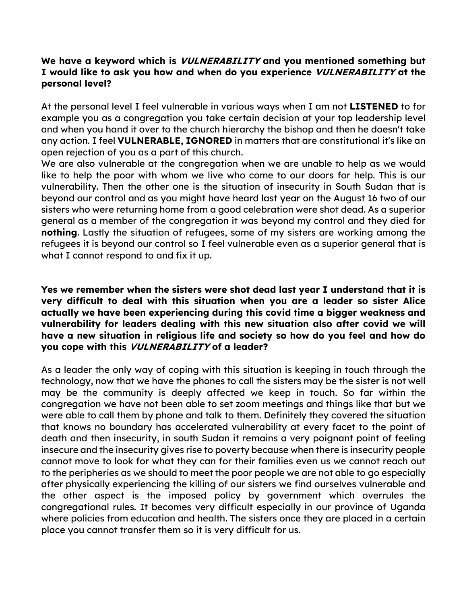## **We have a keyword which is VULNERABILITY and you mentioned something but I would like to ask you how and when do you experience VULNERABILITY at the personal level?**

At the personal level I feel vulnerable in various ways when I am not **LISTENED** to for example you as a congregation you take certain decision at your top leadership level and when you hand it over to the church hierarchy the bishop and then he doesn't take any action. I feel **VULNERABLE, IGNORED** in matters that are constitutional it's like an open rejection of you as a part of this church.

We are also vulnerable at the congregation when we are unable to help as we would like to help the poor with whom we live who come to our doors for help. This is our vulnerability. Then the other one is the situation of insecurity in South Sudan that is beyond our control and as you might have heard last year on the August 16 two of our sisters who were returning home from a good celebration were shot dead. As a superior general as a member of the congregation it was beyond my control and they died for **nothing**. Lastly the situation of refugees, some of my sisters are working among the refugees it is beyond our control so I feel vulnerable even as a superior general that is what I cannot respond to and fix it up.

**Yes we remember when the sisters were shot dead last year I understand that it is very difficult to deal with this situation when you are a leader so sister Alice actually we have been experiencing during this covid time a bigger weakness and vulnerability for leaders dealing with this new situation also after covid we will have a new situation in religious life and society so how do you feel and how do you cope with this VULNERABILITY of a leader?**

As a leader the only way of coping with this situation is keeping in touch through the technology, now that we have the phones to call the sisters may be the sister is not well may be the community is deeply affected we keep in touch. So far within the congregation we have not been able to set zoom meetings and things like that but we were able to call them by phone and talk to them. Definitely they covered the situation that knows no boundary has accelerated vulnerability at every facet to the point of death and then insecurity, in south Sudan it remains a very poignant point of feeling insecure and the insecurity gives rise to poverty because when there is insecurity people cannot move to look for what they can for their families even us we cannot reach out to the peripheries as we should to meet the poor people we are not able to go especially after physically experiencing the killing of our sisters we find ourselves vulnerable and the other aspect is the imposed policy by government which overrules the congregational rules. It becomes very difficult especially in our province of Uganda where policies from education and health. The sisters once they are placed in a certain place you cannot transfer them so it is very difficult for us.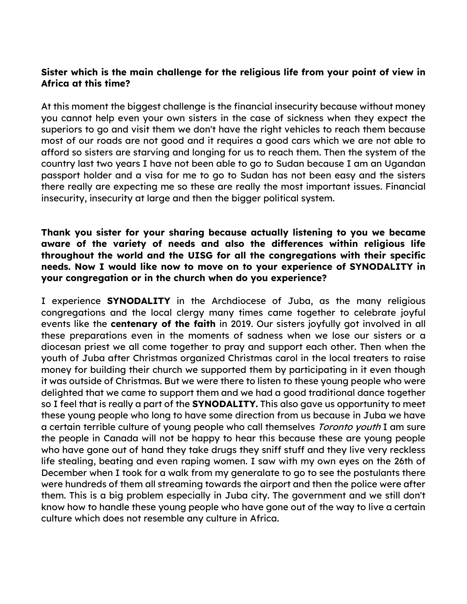### **Sister which is the main challenge for the religious life from your point of view in Africa at this time?**

At this moment the biggest challenge is the financial insecurity because without money you cannot help even your own sisters in the case of sickness when they expect the superiors to go and visit them we don't have the right vehicles to reach them because most of our roads are not good and it requires a good cars which we are not able to afford so sisters are starving and longing for us to reach them. Then the system of the country last two years I have not been able to go to Sudan because I am an Ugandan passport holder and a visa for me to go to Sudan has not been easy and the sisters there really are expecting me so these are really the most important issues. Financial insecurity, insecurity at large and then the bigger political system.

### **Thank you sister for your sharing because actually listening to you we became aware of the variety of needs and also the differences within religious life throughout the world and the UISG for all the congregations with their specific needs. Now I would like now to move on to your experience of SYNODALITY in your congregation or in the church when do you experience?**

I experience **SYNODALITY** in the Archdiocese of Juba, as the many religious congregations and the local clergy many times came together to celebrate joyful events like the **centenary of the faith** in 2019. Our sisters joyfully got involved in all these preparations even in the moments of sadness when we lose our sisters or a diocesan priest we all come together to pray and support each other. Then when the youth of Juba after Christmas organized Christmas carol in the local treaters to raise money for building their church we supported them by participating in it even though it was outside of Christmas. But we were there to listen to these young people who were delighted that we came to support them and we had a good traditional dance together so I feel that is really a part of the **SYNODALITY.** This also gave us opportunity to meet these young people who long to have some direction from us because in Juba we have a certain terrible culture of young people who call themselves Toronto youth I am sure the people in Canada will not be happy to hear this because these are young people who have gone out of hand they take drugs they sniff stuff and they live very reckless life stealing, beating and even raping women. I saw with my own eyes on the 26th of December when I took for a walk from my generalate to go to see the postulants there were hundreds of them all streaming towards the airport and then the police were after them. This is a big problem especially in Juba city. The government and we still don't know how to handle these young people who have gone out of the way to live a certain culture which does not resemble any culture in Africa.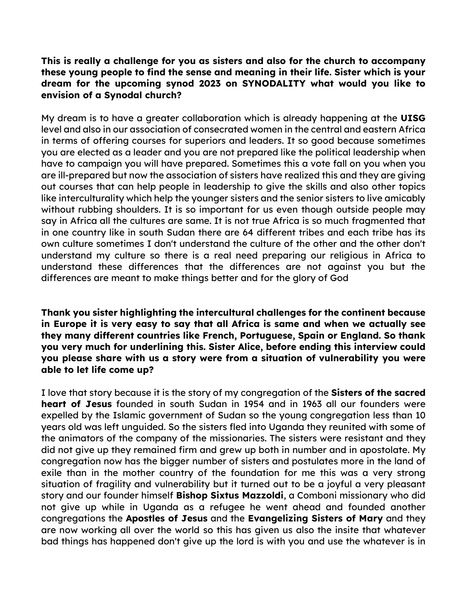## **This is really a challenge for you as sisters and also for the church to accompany these young people to find the sense and meaning in their life. Sister which is your dream for the upcoming synod 2023 on SYNODALITY what would you like to envision of a Synodal church?**

My dream is to have a greater collaboration which is already happening at the **UISG** level and also in our association of consecrated women in the central and eastern Africa in terms of offering courses for superiors and leaders. It so good because sometimes you are elected as a leader and you are not prepared like the political leadership when have to campaign you will have prepared. Sometimes this a vote fall on you when you are ill-prepared but now the association of sisters have realized this and they are giving out courses that can help people in leadership to give the skills and also other topics like interculturality which help the younger sisters and the senior sisters to live amicably without rubbing shoulders. It is so important for us even though outside people may say in Africa all the cultures are same. It is not true Africa is so much fragmented that in one country like in south Sudan there are 64 different tribes and each tribe has its own culture sometimes I don't understand the culture of the other and the other don't understand my culture so there is a real need preparing our religious in Africa to understand these differences that the differences are not against you but the differences are meant to make things better and for the glory of God

**Thank you sister highlighting the intercultural challenges for the continent because in Europe it is very easy to say that all Africa is same and when we actually see they many different countries like French, Portuguese, Spain or England. So thank you very much for underlining this. Sister Alice, before ending this interview could you please share with us a story were from a situation of vulnerability you were able to let life come up?**

I love that story because it is the story of my congregation of the **Sisters of the sacred heart of Jesus** founded in south Sudan in 1954 and in 1963 all our founders were expelled by the Islamic government of Sudan so the young congregation less than 10 years old was left unguided. So the sisters fled into Uganda they reunited with some of the animators of the company of the missionaries. The sisters were resistant and they did not give up they remained firm and grew up both in number and in apostolate. My congregation now has the bigger number of sisters and postulates more in the land of exile than in the mother country of the foundation for me this was a very strong situation of fragility and vulnerability but it turned out to be a joyful a very pleasant story and our founder himself **Bishop Sixtus Mazzoldi**, a Comboni missionary who did not give up while in Uganda as a refugee he went ahead and founded another congregations the **Apostles of Jesus** and the **Evangelizing Sisters of Mary** and they are now working all over the world so this has given us also the insite that whatever bad things has happened don't give up the lord is with you and use the whatever is in